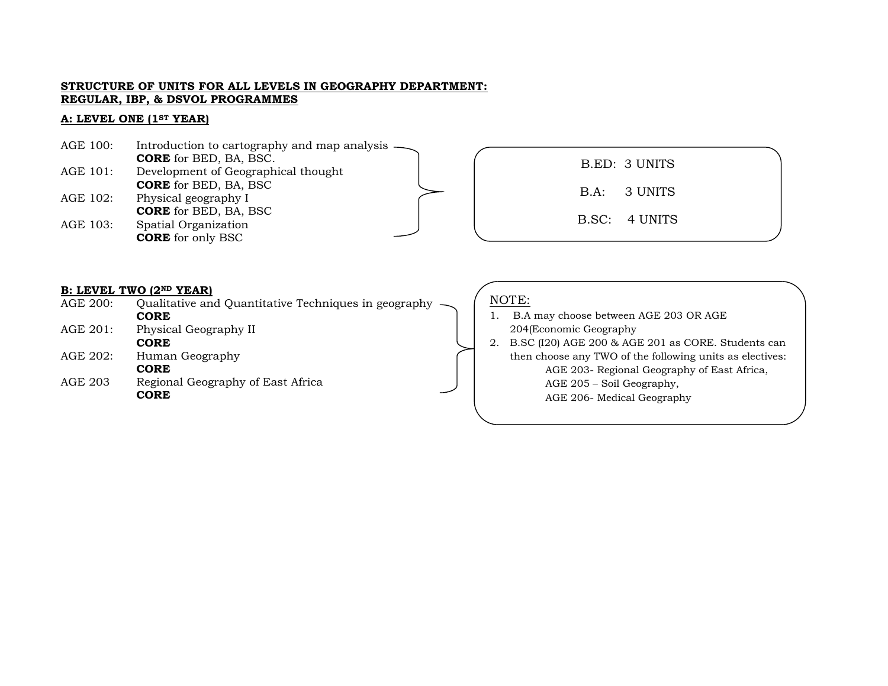#### **STRUCTURE OF UNITS FOR ALL LEVELS IN GEOGRAPHY DEPARTMENT: REGULAR, IBP, & DSVOL PROGRAMMES**

### **A: LEVEL ONE (1ST YEAR)**

| AGE 100: | Introduction to cartography and map analysis — |  |  |
|----------|------------------------------------------------|--|--|
|          | <b>CORE</b> for BED, BA, BSC.                  |  |  |
| AGE 101: | Development of Geographical thought            |  |  |
|          | <b>CORE</b> for BED, BA, BSC                   |  |  |
| AGE 102: | Physical geography I                           |  |  |
|          | <b>CORE</b> for BED, BA, BSC                   |  |  |
| AGE 103: | Spatial Organization                           |  |  |
|          | <b>CORE</b> for only BSC                       |  |  |

B.ED: 3 UNITS B.A: 3 UNITS B.SC: 4 UNITS

#### **B: LEVEL TWO (2ND YEAR)**

| AGE 200: | Qualitative and Quantitative Techniques in geography |  |  |  |
|----------|------------------------------------------------------|--|--|--|
|          | <b>CORE</b>                                          |  |  |  |
| AGE 201: | Physical Geography II                                |  |  |  |
|          | <b>CORE</b>                                          |  |  |  |
| AGE 202: | Human Geography                                      |  |  |  |
|          | <b>CORE</b>                                          |  |  |  |
| AGE 203  | Regional Geography of East Africa                    |  |  |  |
|          | <b>CORE</b>                                          |  |  |  |
|          |                                                      |  |  |  |
|          |                                                      |  |  |  |

# NOTE:

- 1. B.A may choose between AGE 203 OR AGE 204(Economic Geography
- 2. B.SC (I20) AGE 200 & AGE 201 as CORE. Students can then choose any TWO of the following units as electives: AGE 203- Regional Geography of East Africa, AGE 205 – Soil Geography, AGE 206- Medical Geography